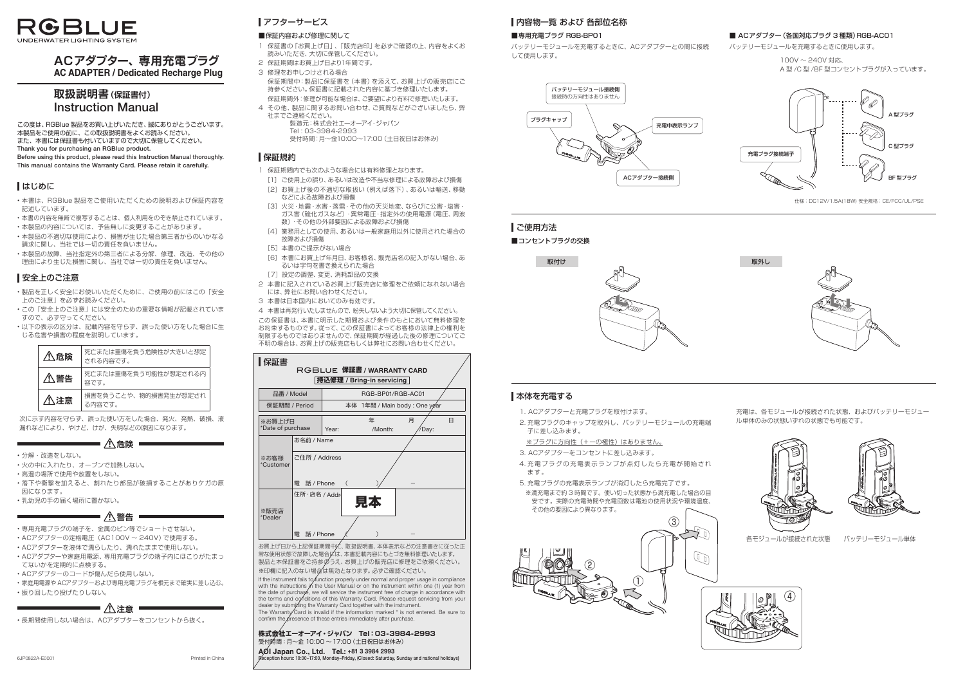

# **ACアダプター、 専用充雷プラグ AC ADAPTER / Dedicated Recharge Plug**

# 取扱説明書(保証書付) **Instruction Manual**

この度は、RGBlue 製品をお買い上げいただき、誠にありがとうございます。 本製品をご使用の前に、この取扱説明書をよくお読みください。 また、本書には保証書も付いていますので大切に保管してください。 Thank you for purchasing an RGBlue product. Before using this product, please read this Instruction Manual thoroughly. This manual contains the Warranty Card. Please retain it carefully.

はじめに

- ·本書は、RGBlue 製品をご使用いただくための説明および保証内容を 記述しています。
- •本書の内容を無断で複写することは、個人利用をのぞき禁止されています。
- •本製品の内容については、予告無しに変更することがあります。
- •本製品の不適切な使用により、損害が生じた場合第三者からのいかなる 請求に関し、当社では一切の責任を負いません。
- •本製品の故障、当社指定外の第三者による分解、修理、改造、その他の 理由により生じた損害に関し、当社では一切の責任を負いません。

# ■安全上のご注意

- •製品を正しく安全にお使いいただくために、ご使用の前にはこの「安全 上のご注意」を必ずお読みください。
- •この「安全上のご注意」には安全のための重要な情報が記載されていま すので、必ず守ってください。
- •以下の表示の区分は、記載内容を守らず、誤った使い方をした場合に生 じる危害や損害の程度を説明しています。

- •分解・改造をしない。
- 火の中に入れたり、オーブンで加熱しない。
- 。高温の場所で使用や放置をしない•
- ・落下や衝撃を加えると、割れたり部品が破損することがありケガの原 。因になります **警告**
- 。乳幼児の手の届く場所に置かない•

- 専用充電プラグの端子を、金属のピン等でショートさせない。
- ACアダプターの定格電圧 (AC100V ~ 240V) で使用する。
- · ACアダプターを液体で濡らしたり、濡れたままで使用しない。
- · ACアダプターや家庭用電源、専用充電プラグの端子内にほこりがたまっ 。てないかを定期的に点検する • ACアダプターや家庭用電源、専用充電プラグの端子内にほこりが<br>- てないかを定期的に点検する。<br>• ACアダプターのコードが傷んだら使用しない。<br>• 家庭用電源や ACアダプターおよび専用充電プラグを根元まで確実に差<br>• 振り回したり投げたりしない。<br>- **/ <u>ヘ</u>注意**
- 。ACアダプターのコードが傷んだら使用しない•
- ・家庭用電源や ACアダプターおよび専用充電プラグを根元まで確実に差し込む。
- 。振り回したり投げたりしない•

·長期間使用しない場合は、ACアダプターをコンセントから抜く。

バッテリーモジュールを充電するときに、ACアダプターとの間に接続 。して使用します

|                                                                  | ⚠危険            | 死亡または重傷を負う危険性が大きいと想定<br>される内容です。 |  |  |  |  |
|------------------------------------------------------------------|----------------|----------------------------------|--|--|--|--|
| 八警告                                                              |                | 死亡または重傷を負う可能性が想定される内<br>容です。     |  |  |  |  |
|                                                                  | $\bigwedge$ 注意 | 損害を負うことや、物的損害発生が想定され<br>る内容です。   |  |  |  |  |
| 次に示す内容を守らず、誤った使い方をした場合、発火、発熱、破損、<br>漏れなどにより、やけど、けが、失明などの原因になります。 |                |                                  |  |  |  |  |
| 后降                                                               |                |                                  |  |  |  |  |

- 1. ACアダプターと充電プラグを取付けます。
- 2. 充電プラグのキャップを取外し、バッテリーモジュールの充電端 子に差し込みます。
- ※プラグに方向性 (+一の極性) はありません。
- 3. ACアダプターをコンセントに差し込みます。
- 4. 充電プラグの充電表示ランプが点灯したら充電が開始され ます。
- 5. 充電プラグの充電表示ランプが消灯したら充電完了です。 ※満充電まで約3時間です。使い切った状態から満充電した場合の目 安です。実際の充電時間や充電回数は電池の使用状況や環境温度、 。その他の要因により異なります

充電は、各モジュールが接続された状態、およびバッテリーモジュー 。ル単体のみの状態いずれの状態でも可能です



各モジュールが接続された状態 バッテリーモジュール単体



。バッテリーモジュールを充電するときに使用します

 $100V \sim 240V$  対応、 A型/C型/BF型コンセントプラグが入っています。

# アフターサービス

## ■保証内容および修理に関して

- 1 保証書の「お買上げ日」、「販売店印」を必ずご確認の上、内容をよくお 読みいただき、大切に保管してください。
- 2 保証期間はお買上げ日より1年間です。
- 3 修理をお申しつけされる場合 保証期間中:製品に保証書を(本書)を添えて、お買上げの販売店にご 持参ください。保証書に記載された内容に基づき修理いたします。 保証期間外:修理が可能な場合は、ご要望により有料で修理いたします。
- 4 その他、製品に関するお問い合わせ、ご質問などがございましたら、弊 。社までご連絡ください 製造元:株式会社エーオーアイ·ジャパン
	- Tel: 03-3984-2993 受付時間:月~金10:00~17:00 (土日祝日はお休み)

## 保証規約

- 1 保証期間内でも次のような場合には有料修理となります。
	- [1] ご使用上の誤り、あるいは改造や不当な修理による故障および損傷 [2] お買上げ後の不適切な取扱い (例えば落下)、あるいは輸送、移動 などによる故障および損傷
	- [3] 火災・地震・水害・落雷・その他の天災地変、ならびに公害・塩害・ ガス害(硫化ガスなど)·異常電圧·指定外の使用電源(電圧、周波 数)·その他の外部要因による故障および損傷
- [4] 業務用としての使用、あるいは一般家庭用以外に使用された場合の 故障および損傷
- [5] 本書のご提示がない場合
- [6] 本書にお買上げ年月日、お客様名、販売店名の記入がない場合、あ るいは字句を書き換えられた場合
- [7] 設定の調整、変更、消耗部品の交換
- 2 本書に記入されているお買上げ販売店に修理をご依頼になれない場合 には、弊社にお問い合わせください。
- 3 本書は日本国内においてのみ有効です。

4 本書は再発行いたしませんので、紛失しないよう大切に保管してください。

この保証書は、本書に明示した期間および条件のもとにおいて無料修理を お約束するものです。従って、この保証書によってお客様の法律上の権利を 制限するものではありませんので、保証期間が経過した後の修理についてご 不明の場合は、お買上げの販売店もしくは弊社にお問い合わせください。

|  | ▌保証書                                        |                             |       |                              |                                                          |            |   |
|--|---------------------------------------------|-----------------------------|-------|------------------------------|----------------------------------------------------------|------------|---|
|  |                                             |                             |       |                              | RGBLUE 保証書 / WARRANTY CARD<br> 持込修理 / Bring-in servicing |            |   |
|  |                                             | 品番 / Model<br>保証期間 / Period |       | RGB-BP01/RGB-AC01            |                                                          |            |   |
|  |                                             |                             |       | 本体 1年間 / Main body: One ygar |                                                          |            |   |
|  | ※お買上げ日<br>*Date of purchase                 |                             | Year: |                              | 年<br>/Month:                                             | 月<br>/Day: | A |
|  |                                             | お名前 / Name                  |       |                              |                                                          |            |   |
|  | ※お客様<br>*Customer                           | ご住所 / Address               |       |                              |                                                          |            |   |
|  |                                             | 電 話 / Phone                 |       | $\left($                     |                                                          |            |   |
|  | 住所·店名 / Addr<br>※販売店<br>*Dealer             |                             |       |                              | 見太                                                       |            |   |
|  |                                             | 電<br>話 / Phone              |       |                              |                                                          |            |   |
|  | お買 トげロから ト記保証期間由佐<br>取扱説阳聿 木体表示などの注音聿キに従った正 |                             |       |                              |                                                          |            |   |

お買上げ日から上記保証期間中に、取扱説明書、本体表示などの注意書きに従った正 常な使用状態で故障した場合には、本書記載内容にもとづき無料修理いたします。 製品と本保証書をご持参のうえ、お買上げの販売店に修理をご依頼ください。 ※印欄に記入のない場合は無効となります。必ずご確認ください。

If the instrument fails to function properly under normal and proper usage in compliance with the instructions in the User Manual or on the instrument within one (1) year from the date of purchase, we will service the instrument free of charge in accordance with the terms and conditions of this Warranty Card. Please request servicing from your dealer by submitting the Warranty Card together with the instrument. The Warranty Card is invalid if the information marked  $*$  is not entered. Be sure to

confirm the presence of these entries immediately after purchase

### 株式会社エーオーアイ・ジャパン Tel: 03-3984-2993 受付時間:月~金 10:00 ~17:00 (土日祝日はお休み) AØI Japan Co., Ltd. Tel.: +81 3 3984 2993 ception hours: 10:00–17:00. Monday–Friday. (Closed: Saturday. Sunday and national holidays)

# ■内容物一覧 および 各部位名称

### ■専用充電プラグ RGB-BP01



仕様: DC12V/1.5A(18W) 安全規格: CE/FCC/UL/PSE





### ■ ACアダプター (各国対応プラグ 3 種類) RGB-AC01





# ■本体を充雷する



# ■ご使用方法

■コンセントプラグの交換